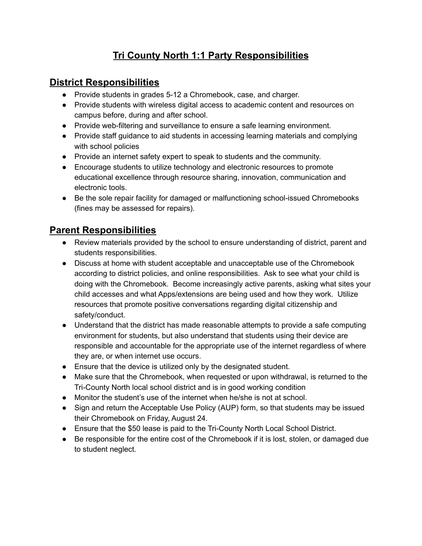# **Tri County North 1:1 Party Responsibilities**

### **District Responsibilities**

- Provide students in grades 5-12 a Chromebook, case, and charger.
- Provide students with wireless digital access to academic content and resources on campus before, during and after school.
- Provide web-filtering and surveillance to ensure a safe learning environment.
- Provide staff guidance to aid students in accessing learning materials and complying with school policies
- Provide an internet safety expert to speak to students and the community.
- Encourage students to utilize technology and electronic resources to promote educational excellence through resource sharing, innovation, communication and electronic tools.
- Be the sole repair facility for damaged or malfunctioning school-issued Chromebooks (fines may be assessed for repairs).

## **Parent Responsibilities**

- Review materials provided by the school to ensure understanding of district, parent and students responsibilities.
- Discuss at home with student acceptable and unacceptable use of the Chromebook according to district policies, and online responsibilities. Ask to see what your child is doing with the Chromebook. Become increasingly active parents, asking what sites your child accesses and what Apps/extensions are being used and how they work. Utilize resources that promote positive conversations regarding digital citizenship and safety/conduct.
- Understand that the district has made reasonable attempts to provide a safe computing environment for students, but also understand that students using their device are responsible and accountable for the appropriate use of the internet regardless of where they are, or when internet use occurs.
- Ensure that the device is utilized only by the designated student.
- Make sure that the Chromebook, when requested or upon withdrawal, is returned to the Tri-County North local school district and is in good working condition
- Monitor the student's use of the internet when he/she is not at school.
- Sign and return the Acceptable Use Policy (AUP) form, so that students may be issued their Chromebook on Friday, August 24.
- Ensure that the \$50 lease is paid to the Tri-County North Local School District.
- Be responsible for the entire cost of the Chromebook if it is lost, stolen, or damaged due to student neglect.